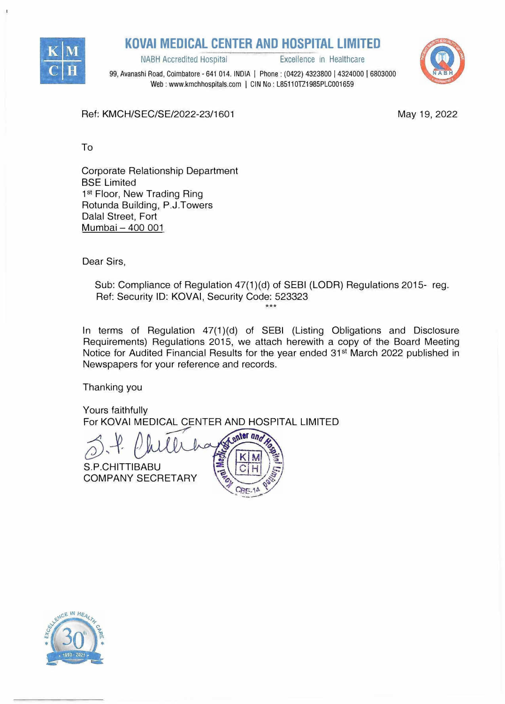

**KOVAi MEDICAL CENTER AND HOSPITAL LIMITED** 

NABH Accredited Hospital **Excellence** in Healthcare

99, Avanashi Road, Coimbatore - 641 014. INDIA I Phone: (0422) 4323800 I 4324000 I <sup>6803000</sup> Web: www.kmchhospitals.com | CIN No: L85110TZ1985PLC001659

Ref: KMCH/SEC/SE/2022-23/1601

May 19, 2022

To

Corporate Relationship Department BSE Limited 1<sup>st</sup> Floor, New Trading Ring Rotunda Building, P.J.Towers Dalal Street, Fort Mumbai - 400 001

Dear Sirs,

Sub: Compliance of Regulation 47(1)(d) of SEBI (LODR) Regulations 2015- reg. Ref: Security ID: KOVAi, Security Code: 523323  $***$ 

In terms of Regulation 47(1)(d) of SEBI (Listing Obligations and Disclosure Requirements) Regulations 2015, we attach herewith a copy of the Board Meeting Notice for Audited Financial Results for the year ended 31<sup>s</sup>t March 2022 published in Newspapers for your reference and records.

Thanking you

Yours faithfully For KOVAi MEDICAL CENTER AND HOSPITAL LIMITED

 $CBF-10$ 

enter and S.P.CHITTIBABU ā COMPANY SECRETARY